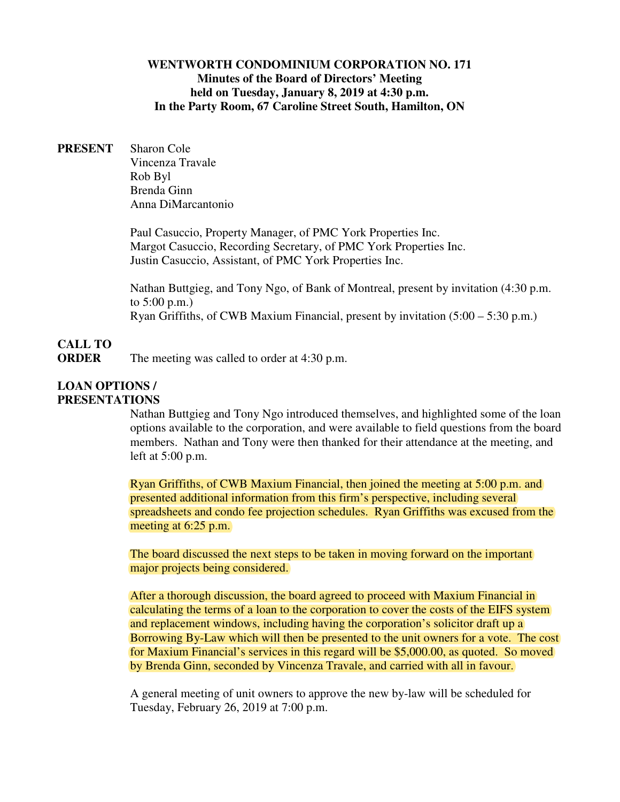# **WENTWORTH CONDOMINIUM CORPORATION NO. 171 Minutes of the Board of Directors' Meeting held on Tuesday, January 8, 2019 at 4:30 p.m. In the Party Room, 67 Caroline Street South, Hamilton, ON**

**PRESENT** Sharon Cole Vincenza Travale Rob Byl Brenda Ginn Anna DiMarcantonio

> Paul Casuccio, Property Manager, of PMC York Properties Inc. Margot Casuccio, Recording Secretary, of PMC York Properties Inc. Justin Casuccio, Assistant, of PMC York Properties Inc.

Nathan Buttgieg, and Tony Ngo, of Bank of Montreal, present by invitation (4:30 p.m. to 5:00 p.m.) Ryan Griffiths, of CWB Maxium Financial, present by invitation (5:00 – 5:30 p.m.)

# **CALL TO ORDER** The meeting was called to order at 4:30 p.m.

#### **LOAN OPTIONS / PRESENTATIONS**

Nathan Buttgieg and Tony Ngo introduced themselves, and highlighted some of the loan options available to the corporation, and were available to field questions from the board members. Nathan and Tony were then thanked for their attendance at the meeting, and left at 5:00 p.m.

Ryan Griffiths, of CWB Maxium Financial, then joined the meeting at 5:00 p.m. and presented additional information from this firm's perspective, including several spreadsheets and condo fee projection schedules. Ryan Griffiths was excused from the meeting at 6:25 p.m.

The board discussed the next steps to be taken in moving forward on the important major projects being considered.

After a thorough discussion, the board agreed to proceed with Maxium Financial in calculating the terms of a loan to the corporation to cover the costs of the EIFS system and replacement windows, including having the corporation's solicitor draft up a Borrowing By-Law which will then be presented to the unit owners for a vote. The cost for Maxium Financial's services in this regard will be \$5,000.00, as quoted. So moved by Brenda Ginn, seconded by Vincenza Travale, and carried with all in favour.

A general meeting of unit owners to approve the new by-law will be scheduled for Tuesday, February 26, 2019 at 7:00 p.m.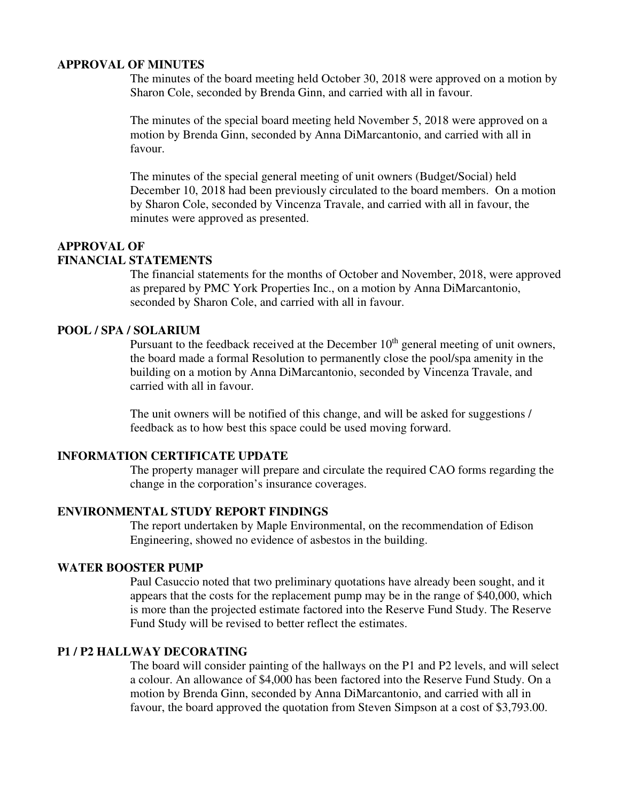#### **APPROVAL OF MINUTES**

The minutes of the board meeting held October 30, 2018 were approved on a motion by Sharon Cole, seconded by Brenda Ginn, and carried with all in favour.

The minutes of the special board meeting held November 5, 2018 were approved on a motion by Brenda Ginn, seconded by Anna DiMarcantonio, and carried with all in favour.

The minutes of the special general meeting of unit owners (Budget/Social) held December 10, 2018 had been previously circulated to the board members. On a motion by Sharon Cole, seconded by Vincenza Travale, and carried with all in favour, the minutes were approved as presented.

## **APPROVAL OF FINANCIAL STATEMENTS**

The financial statements for the months of October and November, 2018, were approved as prepared by PMC York Properties Inc., on a motion by Anna DiMarcantonio, seconded by Sharon Cole, and carried with all in favour.

# **POOL / SPA / SOLARIUM**

Pursuant to the feedback received at the December  $10<sup>th</sup>$  general meeting of unit owners, the board made a formal Resolution to permanently close the pool/spa amenity in the building on a motion by Anna DiMarcantonio, seconded by Vincenza Travale, and carried with all in favour.

The unit owners will be notified of this change, and will be asked for suggestions / feedback as to how best this space could be used moving forward.

# **INFORMATION CERTIFICATE UPDATE**

The property manager will prepare and circulate the required CAO forms regarding the change in the corporation's insurance coverages.

#### **ENVIRONMENTAL STUDY REPORT FINDINGS**

The report undertaken by Maple Environmental, on the recommendation of Edison Engineering, showed no evidence of asbestos in the building.

# **WATER BOOSTER PUMP**

Paul Casuccio noted that two preliminary quotations have already been sought, and it appears that the costs for the replacement pump may be in the range of \$40,000, which is more than the projected estimate factored into the Reserve Fund Study. The Reserve Fund Study will be revised to better reflect the estimates.

# **P1 / P2 HALLWAY DECORATING**

The board will consider painting of the hallways on the P1 and P2 levels, and will select a colour. An allowance of \$4,000 has been factored into the Reserve Fund Study. On a motion by Brenda Ginn, seconded by Anna DiMarcantonio, and carried with all in favour, the board approved the quotation from Steven Simpson at a cost of \$3,793.00.